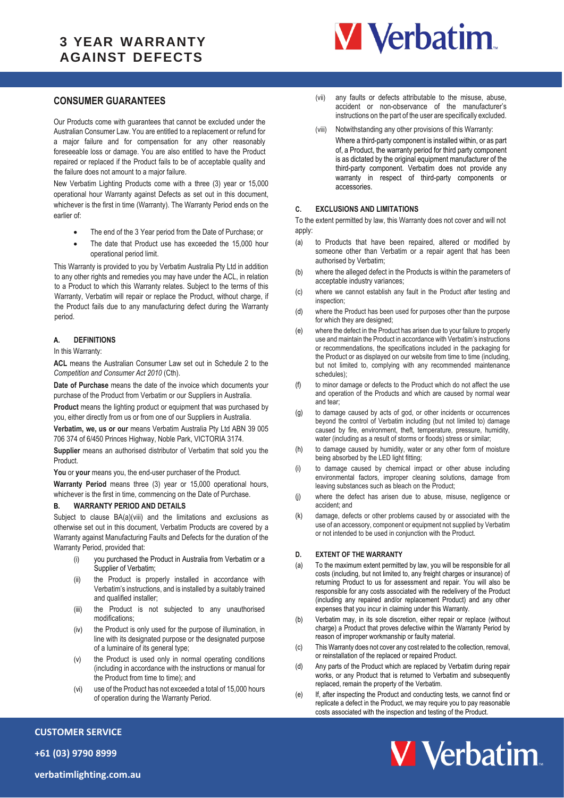# **3 YEAR WARRANTY AGAINST DEFECTS**



## **CONSUMER GUARANTEES**

Our Products come with guarantees that cannot be excluded under the Australian Consumer Law. You are entitled to a replacement or refund for a major failure and for compensation for any other reasonably foreseeable loss or damage. You are also entitled to have the Product repaired or replaced if the Product fails to be of acceptable quality and the failure does not amount to a major failure.

New Verbatim Lighting Products come with a three (3) year or 15,000 operational hour Warranty against Defects as set out in this document, whichever is the first in time (Warranty). The Warranty Period ends on the earlier of:

- The end of the 3 Year period from the Date of Purchase; or
- The date that Product use has exceeded the 15,000 hour operational period limit.

This Warranty is provided to you by Verbatim Australia Pty Ltd in addition to any other rights and remedies you may have under the ACL, in relation to a Product to which this Warranty relates. Subject to the terms of this Warranty, Verbatim will repair or replace the Product, without charge, if the Product fails due to any manufacturing defect during the Warranty period.

#### **A. DEFINITIONS**

In this Warranty:

**ACL** means the Australian Consumer Law set out in Schedule 2 to the *Competition and Consumer Act 2010* (Cth).

**Date of Purchase** means the date of the invoice which documents your purchase of the Product from Verbatim or our Suppliers in Australia.

**Product** means the lighting product or equipment that was purchased by you, either directly from us or from one of our Suppliers in Australia.

**Verbatim, we, us or our** means Verbatim Australia Pty Ltd ABN 39 005 706 374 of 6/450 Princes Highway, Noble Park, VICTORIA 3174.

**Supplier** means an authorised distributor of Verbatim that sold you the Product.

You or your means you, the end-user purchaser of the Product.

**Warranty Period** means three (3) year or 15,000 operational hours, whichever is the first in time, commencing on the Date of Purchase.

#### <span id="page-0-0"></span>**B. WARRANTY PERIOD AND DETAILS**

Subject to clause [BA\(a\)\(viii\)](#page-0-0) and the limitations and exclusions as otherwise set out in this document, Verbatim Products are covered by a Warranty against Manufacturing Faults and Defects for the duration of the Warranty Period, provided that:

- (i) you purchased the Product in Australia from Verbatim or a Supplier of Verbatim;
- (ii) the Product is properly installed in accordance with Verbatim's instructions, and is installed by a suitably trained and qualified installer;
- (iii) the Product is not subjected to any unauthorised modifications;
- (iv) the Product is only used for the purpose of illumination, in line with its designated purpose or the designated purpose of a luminaire of its general type;
- (v) the Product is used only in normal operating conditions (including in accordance with the instructions or manual for the Product from time to time); and
- (vi) use of the Product has not exceeded a total of 15,000 hours of operation during the Warranty Period.
- (vii) any faults or defects attributable to the misuse, abuse, accident or non-observance of the manufacturer's instructions on the part of the user are specifically excluded.
- (viii) Notwithstanding any other provisions of this Warranty:
- Where a third-party component is installed within, or as part of, a Product, the warranty period for third party component is as dictated by the original equipment manufacturer of the third-party component. Verbatim does not provide any warranty in respect of third-party components or accessories.

#### **C. EXCLUSIONS AND LIMITATIONS**

To the extent permitted by law, this Warranty does not cover and will not apply:

- (a) to Products that have been repaired, altered or modified by someone other than Verbatim or a repair agent that has been authorised by Verbatim;
- (b) where the alleged defect in the Products is within the parameters of acceptable industry variances;
- (c) where we cannot establish any fault in the Product after testing and inspection;
- (d) where the Product has been used for purposes other than the purpose for which they are designed;
- (e) where the defect in the Product has arisen due to your failure to properly use and maintain the Product in accordance with Verbatim's instructions or recommendations, the specifications included in the packaging for the Product or as displayed on our website from time to time (including, but not limited to, complying with any recommended maintenance schedules);
- (f) to minor damage or defects to the Product which do not affect the use and operation of the Products and which are caused by normal wear and tear;
- (g) to damage caused by acts of god, or other incidents or occurrences beyond the control of Verbatim including (but not limited to) damage caused by fire, environment, theft, temperature, pressure, humidity, water (including as a result of storms or floods) stress or similar;
- (h) to damage caused by humidity, water or any other form of moisture being absorbed by the LED light fitting;
- (i) to damage caused by chemical impact or other abuse including environmental factors, improper cleaning solutions, damage from leaving substances such as bleach on the Product;
- (j) where the defect has arisen due to abuse, misuse, negligence or accident; and
- (k) damage, defects or other problems caused by or associated with the use of an accessory, component or equipment not supplied by Verbatim or not intended to be used in conjunction with the Product.

### **D. EXTENT OF THE WARRANTY**

- (a) To the maximum extent permitted by law, you will be responsible for all costs (including, but not limited to, any freight charges or insurance) of returning Product to us for assessment and repair. You will also be responsible for any costs associated with the redelivery of the Product (including any repaired and/or replacement Product) and any other expenses that you incur in claiming under this Warranty.
- (b) Verbatim may, in its sole discretion, either repair or replace (without charge) a Product that proves defective within the Warranty Period by reason of improper workmanship or faulty material.
- (c) This Warranty does not cover any cost related to the collection, removal, or reinstallation of the replaced or repaired Product.
- (d) Any parts of the Product which are replaced by Verbatim during repair works, or any Product that is returned to Verbatim and subsequently replaced, remain the property of the Verbatim.
- (e) If, after inspecting the Product and conducting tests, we cannot find or replicate a defect in the Product, we may require you to pay reasonable costs associated with the inspection and testing of the Product.



**+61 (03) 9790 8999**

**CUSTOMER SERVICE**